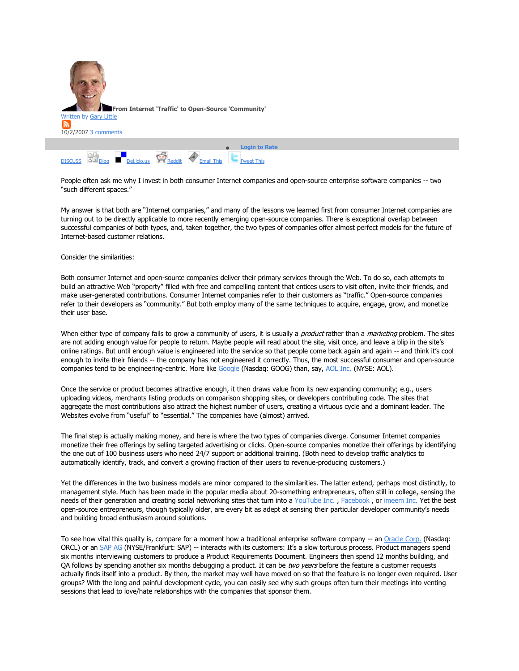| From Internet 'Traffic' to Open-Source 'Community'<br>Written by Gary Little<br>R<br>10/2/2007 3 comments |
|-----------------------------------------------------------------------------------------------------------|
| <b>Login to Rate</b>                                                                                      |
| Del.icio.us Reddit<br><b>Email This</b><br><b>DISCUSS</b><br><b>Tweet This</b>                            |

People often ask me why I invest in both consumer Internet companies and open-source enterprise software companies -- two "such different spaces."

My answer is that both are "Internet companies," and many of the lessons we learned first from consumer Internet companies are turning out to be directly applicable to more recently emerging open-source companies. There is exceptional overlap between successful companies of both types, and, taken together, the two types of companies offer almost perfect models for the future of Internet-based customer relations.

Consider the similarities:

Both consumer Internet and open-source companies deliver their primary services through the Web. To do so, each attempts to build an attractive Web "property" filled with free and compelling content that entices users to visit often, invite their friends, and make user-generated contributions. Consumer Internet companies refer to their customers as "traffic." Open-source companies refer to their developers as "community." But both employ many of the same techniques to acquire, engage, grow, and monetize their user base.

When either type of company fails to grow a community of users, it is usually a *product* rather than a *marketing* problem. The sites are not adding enough value for people to return. Maybe people will read about the site, visit once, and leave a blip in the site's online ratings. But until enough value is engineered into the service so that people come back again and again -- and think it's cool enough to invite their friends -- the company has not engineered it correctly. Thus, the most successful consumer and open-source companies tend to be engineering-centric. More like Google (Nasdaq: GOOG) than, say, AOL Inc. (NYSE: AOL).

Once the service or product becomes attractive enough, it then draws value from its new expanding community; e.g., users uploading videos, merchants listing products on comparison shopping sites, or developers contributing code. The sites that aggregate the most contributions also attract the highest number of users, creating a virtuous cycle and a dominant leader. The Websites evolve from "useful" to "essential." The companies have (almost) arrived.

The final step is actually making money, and here is where the two types of companies diverge. Consumer Internet companies monetize their free offerings by selling targeted advertising or clicks. Open-source companies monetize their offerings by identifying the one out of 100 business users who need 24/7 support or additional training. (Both need to develop traffic analytics to automatically identify, track, and convert a growing fraction of their users to revenue-producing customers.)

Yet the differences in the two business models are minor compared to the similarities. The latter extend, perhaps most distinctly, to management style. Much has been made in the popular media about 20-something entrepreneurs, often still in college, sensing the needs of their generation and creating social networking sites that turn into a YouTube Inc. , Facebook , or imeem Inc. Yet the best open-source entrepreneurs, though typically older, are every bit as adept at sensing their particular developer community's needs and building broad enthusiasm around solutions.

To see how vital this quality is, compare for a moment how a traditional enterprise software company -- an Oracle Corp. (Nasdaq: ORCL) or an SAP AG (NYSE/Frankfurt: SAP) -- interacts with its customers: It's a slow torturous process. Product managers spend six months interviewing customers to produce a Product Requirements Document. Engineers then spend 12 months building, and OA follows by spending another six months debugging a product. It can be two years before the feature a customer requests actually finds itself into a product. By then, the market may well have moved on so that the feature is no longer even required. User groups? With the long and painful development cycle, you can easily see why such groups often turn their meetings into venting sessions that lead to love/hate relationships with the companies that sponsor them.